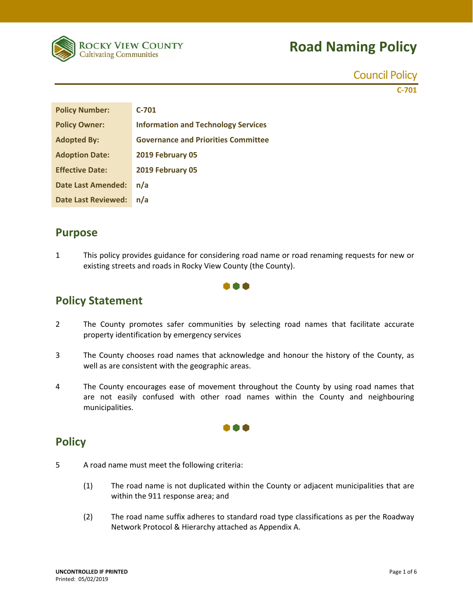

Council Policy

**C‐701**

| <b>Policy Number:</b>      | $C-701$                                    |
|----------------------------|--------------------------------------------|
| <b>Policy Owner:</b>       | <b>Information and Technology Services</b> |
| <b>Adopted By:</b>         | <b>Governance and Priorities Committee</b> |
| <b>Adoption Date:</b>      | 2019 February 05                           |
| <b>Effective Date:</b>     | 2019 February 05                           |
| <b>Date Last Amended:</b>  | n/a                                        |
| <b>Date Last Reviewed:</b> | n/a                                        |

#### **Purpose**

1 This policy provides guidance for considering road name or road renaming requests for new or existing streets and roads in Rocky View County (the County).



### **Policy Statement**

- 2 The County promotes safer communities by selecting road names that facilitate accurate property identification by emergency services
- 3 The County chooses road names that acknowledge and honour the history of the County, as well as are consistent with the geographic areas.
- 4 The County encourages ease of movement throughout the County by using road names that are not easily confused with other road names within the County and neighbouring municipalities.

000

### **Policy**

- 5 A road name must meet the following criteria:
	- (1) The road name is not duplicated within the County or adjacent municipalities that are within the 911 response area; and
	- (2) The road name suffix adheres to standard road type classifications as per the Roadway Network Protocol & Hierarchy attached as Appendix A.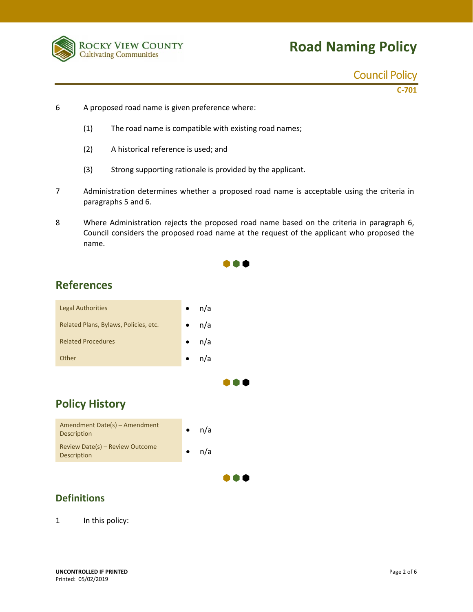

Council Policy

**C‐701**

- 6 A proposed road name is given preference where:
	- (1) The road name is compatible with existing road names;
	- (2) A historical reference is used; and
	- (3) Strong supporting rationale is provided by the applicant.
- 7 Administration determines whether a proposed road name is acceptable using the criteria in paragraphs 5 and 6.
- 8 Where Administration rejects the proposed road name based on the criteria in paragraph 6, Council considers the proposed road name at the request of the applicant who proposed the name.

 $\bullet \bullet \bullet$ 

 $\bullet\bullet\bullet$ 

 $\bullet\bullet\bullet$ 

## **References**



## **Policy History**



#### **Definitions**

1 In this policy: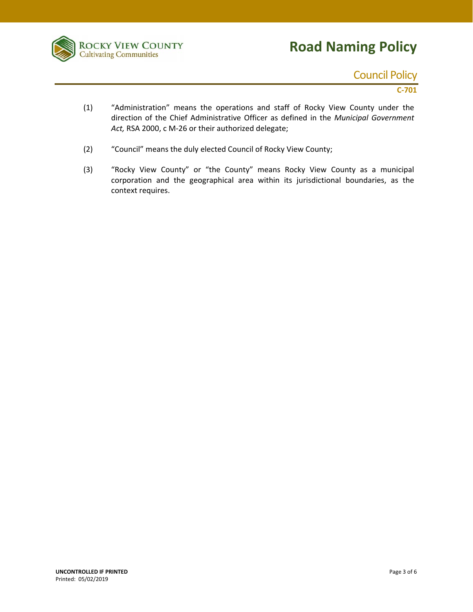

## Council Policy

**C‐701**

- (1) "Administration" means the operations and staff of Rocky View County under the direction of the Chief Administrative Officer as defined in the *Municipal Government Act,* RSA 2000, c M‐26 or their authorized delegate;
- (2) "Council" means the duly elected Council of Rocky View County;
- (3) "Rocky View County" or "the County" means Rocky View County as a municipal corporation and the geographical area within its jurisdictional boundaries, as the context requires.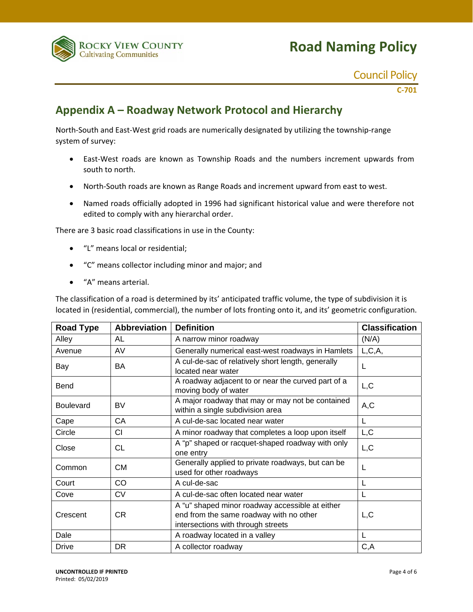

#### Council Policy

**C‐701**

## **Appendix A – Roadway Network Protocol and Hierarchy**

North-South and East-West grid roads are numerically designated by utilizing the township-range system of survey:

- East‐West roads are known as Township Roads and the numbers increment upwards from south to north.
- North-South roads are known as Range Roads and increment upward from east to west.
- Named roads officially adopted in 1996 had significant historical value and were therefore not edited to comply with any hierarchal order.

There are 3 basic road classifications in use in the County:

- "L" means local or residential;
- "C" means collector including minor and major; and
- "A" means arterial.

The classification of a road is determined by its' anticipated traffic volume, the type of subdivision it is located in (residential, commercial), the number of lots fronting onto it, and its' geometric configuration.

| <b>Road Type</b> | <b>Abbreviation</b> | <b>Definition</b>                                                                                                                | <b>Classification</b> |
|------------------|---------------------|----------------------------------------------------------------------------------------------------------------------------------|-----------------------|
| Alley            | AL                  | A narrow minor roadway                                                                                                           | (N/A)                 |
| Avenue           | AV                  | Generally numerical east-west roadways in Hamlets                                                                                | L, C, A,              |
| Bay              | BA                  | A cul-de-sac of relatively short length, generally<br>located near water                                                         | L                     |
| Bend             |                     | A roadway adjacent to or near the curved part of a<br>moving body of water                                                       | L, C                  |
| <b>Boulevard</b> | BV                  | A major roadway that may or may not be contained<br>within a single subdivision area                                             | A,C                   |
| Cape             | СA                  | A cul-de-sac located near water                                                                                                  | L                     |
| Circle           | <b>CI</b>           | A minor roadway that completes a loop upon itself                                                                                | L, C                  |
| Close            | СL                  | A "p" shaped or racquet-shaped roadway with only<br>one entry                                                                    | L, C                  |
| Common           | СM                  | Generally applied to private roadways, but can be<br>used for other roadways                                                     | L                     |
| Court            | CO                  | A cul-de-sac                                                                                                                     | L                     |
| Cove             | <b>CV</b>           | A cul-de-sac often located near water                                                                                            | L                     |
| Crescent         | CR.                 | A "u" shaped minor roadway accessible at either<br>end from the same roadway with no other<br>intersections with through streets | L, C                  |
| Dale             |                     | A roadway located in a valley                                                                                                    | L                     |
| <b>Drive</b>     | DR                  | A collector roadway                                                                                                              | C, A                  |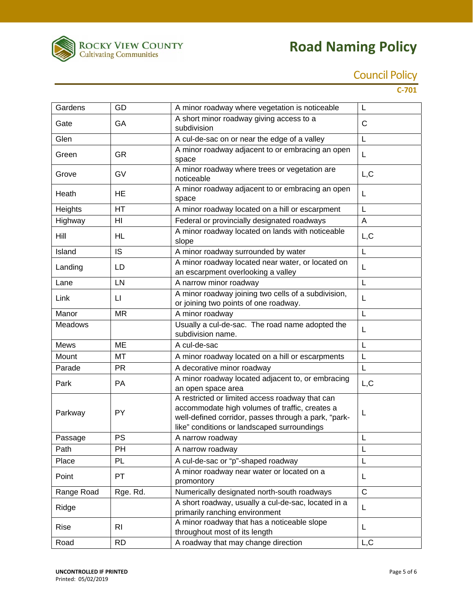

## Council Policy

**C‐701**

| Gardens        | GD           | A minor roadway where vegetation is noticeable                                                                                                                                                           | L            |
|----------------|--------------|----------------------------------------------------------------------------------------------------------------------------------------------------------------------------------------------------------|--------------|
| Gate           | GA           | A short minor roadway giving access to a<br>subdivision                                                                                                                                                  | $\mathsf{C}$ |
| Glen           |              | A cul-de-sac on or near the edge of a valley                                                                                                                                                             | L            |
| Green          | <b>GR</b>    | A minor roadway adjacent to or embracing an open<br>space                                                                                                                                                | L            |
| Grove          | GV           | A minor roadway where trees or vegetation are<br>noticeable                                                                                                                                              | L, C         |
| Heath          | HE           | A minor roadway adjacent to or embracing an open<br>space                                                                                                                                                | L            |
| Heights        | HT           | A minor roadway located on a hill or escarpment                                                                                                                                                          | L            |
| Highway        | HI           | Federal or provincially designated roadways                                                                                                                                                              | A            |
| Hill           | HL           | A minor roadway located on lands with noticeable<br>slope                                                                                                                                                | L, C         |
| Island         | <b>IS</b>    | A minor roadway surrounded by water                                                                                                                                                                      | L            |
| Landing        | LD           | A minor roadway located near water, or located on<br>an escarpment overlooking a valley                                                                                                                  | L            |
| Lane           | LN           | A narrow minor roadway                                                                                                                                                                                   | L            |
| Link           | $\mathsf{L}$ | A minor roadway joining two cells of a subdivision,<br>or joining two points of one roadway.                                                                                                             | L            |
| Manor          | <b>MR</b>    | A minor roadway                                                                                                                                                                                          | L            |
| <b>Meadows</b> |              | Usually a cul-de-sac. The road name adopted the<br>subdivision name.                                                                                                                                     | L            |
| <b>Mews</b>    | <b>ME</b>    | A cul-de-sac                                                                                                                                                                                             | L            |
| Mount          | MT           | A minor roadway located on a hill or escarpments                                                                                                                                                         | L            |
| Parade         | <b>PR</b>    | A decorative minor roadway                                                                                                                                                                               | L            |
| Park           | PA           | A minor roadway located adjacent to, or embracing<br>an open space area                                                                                                                                  | L, C         |
| Parkway        | <b>PY</b>    | A restricted or limited access roadway that can<br>accommodate high volumes of traffic, creates a<br>well-defined corridor, passes through a park, "park-<br>like" conditions or landscaped surroundings | L            |
| Passage        | <b>PS</b>    | A narrow roadway                                                                                                                                                                                         | L            |
| Path           | PH           | A narrow roadway                                                                                                                                                                                         | L            |
| Place          | PL           | A cul-de-sac or "p"-shaped roadway                                                                                                                                                                       | L            |
| Point          | PT           | A minor roadway near water or located on a<br>promontory                                                                                                                                                 | L            |
| Range Road     | Rge. Rd.     | Numerically designated north-south roadways                                                                                                                                                              | $\mathsf{C}$ |
| Ridge          |              | A short roadway, usually a cul-de-sac, located in a<br>primarily ranching environment                                                                                                                    | L            |
| Rise           | RI.          | A minor roadway that has a noticeable slope<br>throughout most of its length                                                                                                                             | Г            |
| Road           | <b>RD</b>    | A roadway that may change direction                                                                                                                                                                      | L, C         |